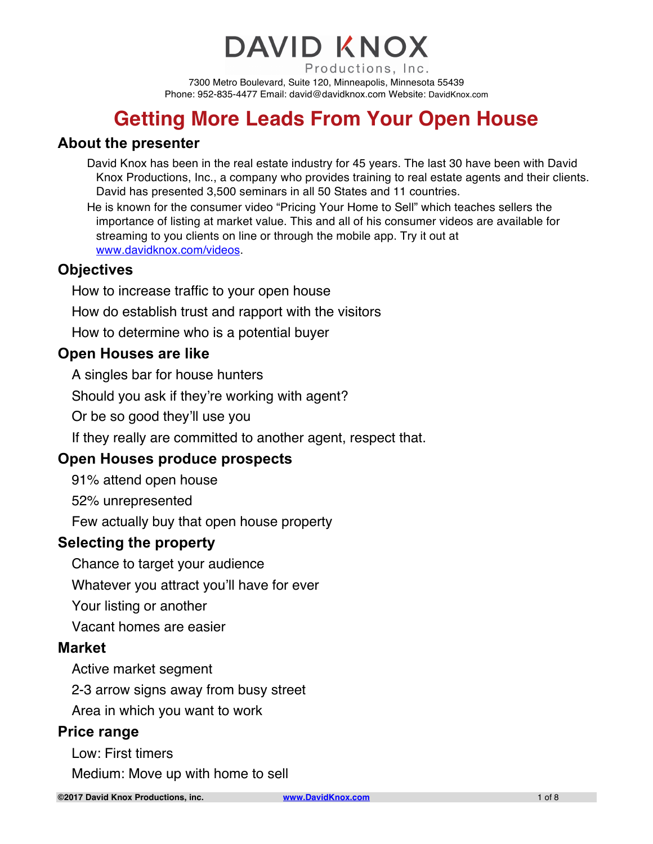#### **DAVID KNOX** Productions, Inc. 7300 Metro Boulevard, Suite 120, Minneapolis, Minnesota 55439

Phone: 952-835-4477 Email: david@davidknox.com Website: DavidKnox.com

## **Getting More Leads From Your Open House**

#### **About the presenter**

David Knox has been in the real estate industry for 45 years. The last 30 have been with David Knox Productions, Inc., a company who provides training to real estate agents and their clients. David has presented 3,500 seminars in all 50 States and 11 countries.

He is known for the consumer video "Pricing Your Home to Sell" which teaches sellers the importance of listing at market value. This and all of his consumer videos are available for streaming to you clients on line or through the mobile app. Try it out at www.davidknox.com/videos.

#### **Objectives**

How to increase traffic to your open house

How do establish trust and rapport with the visitors

How to determine who is a potential buyer

#### **Open Houses are like**

A singles bar for house hunters

Should you ask if they're working with agent?

Or be so good they'll use you

If they really are committed to another agent, respect that.

#### **Open Houses produce prospects**

91% attend open house

52% unrepresented

Few actually buy that open house property

#### **Selecting the property**

Chance to target your audience

Whatever you attract you'll have for ever

Your listing or another

Vacant homes are easier

#### **Market**

Active market segment

2-3 arrow signs away from busy street

Area in which you want to work

#### **Price range**

Low: First timers

Medium: Move up with home to sell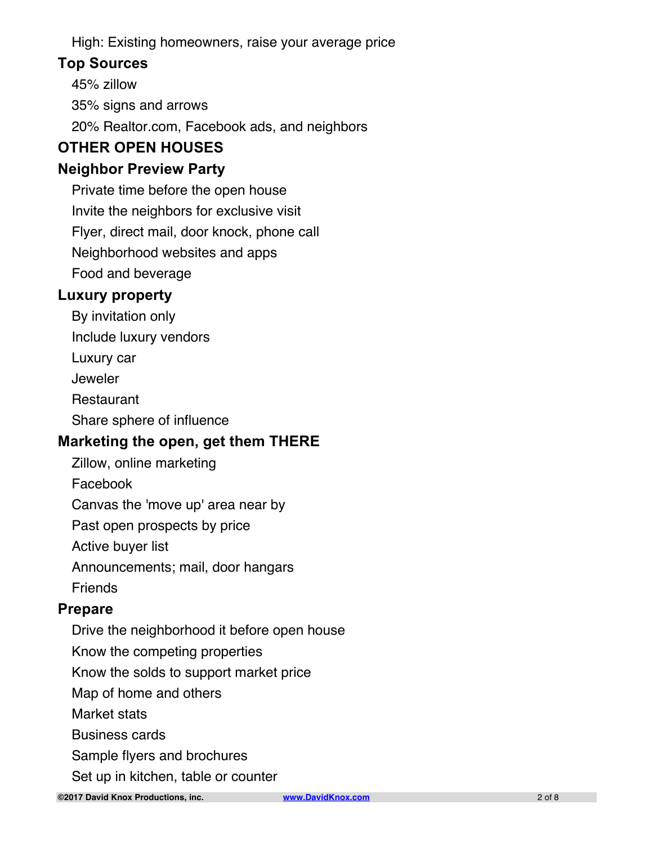High: Existing homeowners, raise your average price

#### **Top Sources**

45% zillow

35% signs and arrows

20% Realtor.com, Facebook ads, and neighbors

## **OTHER OPEN HOUSES**

### **Neighbor Preview Party**

Private time before the open house Invite the neighbors for exclusive visit Flyer, direct mail, door knock, phone call Neighborhood websites and apps

Food and beverage

### **Luxury property**

By invitation only

Include luxury vendors

Luxury car

Jeweler

**Restaurant** 

Share sphere of influence

#### **Marketing the open, get them THERE**

Zillow, online marketing

Facebook

Canvas the 'move up' area near by

Past open prospects by price

Active buyer list

Announcements; mail, door hangars

Friends

#### **Prepare**

Drive the neighborhood it before open house

Know the competing properties

Know the solds to support market price

Map of home and others

Market stats

Business cards

Sample flyers and brochures

Set up in kitchen, table or counter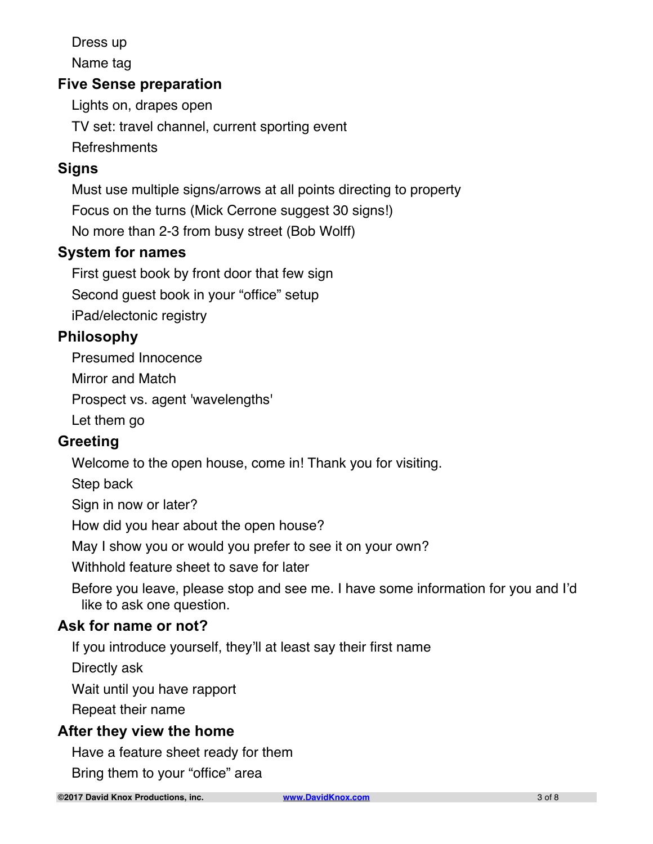Dress up

Name tag

#### **Five Sense preparation**

Lights on, drapes open

TV set: travel channel, current sporting event

**Refreshments** 

### **Signs**

Must use multiple signs/arrows at all points directing to property

Focus on the turns (Mick Cerrone suggest 30 signs!)

No more than 2-3 from busy street (Bob Wolff)

#### **System for names**

First guest book by front door that few sign

Second guest book in your "office" setup

iPad/electonic registry

#### **Philosophy**

Presumed Innocence

Mirror and Match

Prospect vs. agent 'wavelengths'

Let them go

#### **Greeting**

Welcome to the open house, come in! Thank you for visiting.

Step back

Sign in now or later?

How did you hear about the open house?

May I show you or would you prefer to see it on your own?

Withhold feature sheet to save for later

Before you leave, please stop and see me. I have some information for you and I'd like to ask one question.

#### **Ask for name or not?**

If you introduce yourself, they'll at least say their first name

Directly ask

Wait until you have rapport

Repeat their name

#### **After they view the home**

Have a feature sheet ready for them

Bring them to your "office" area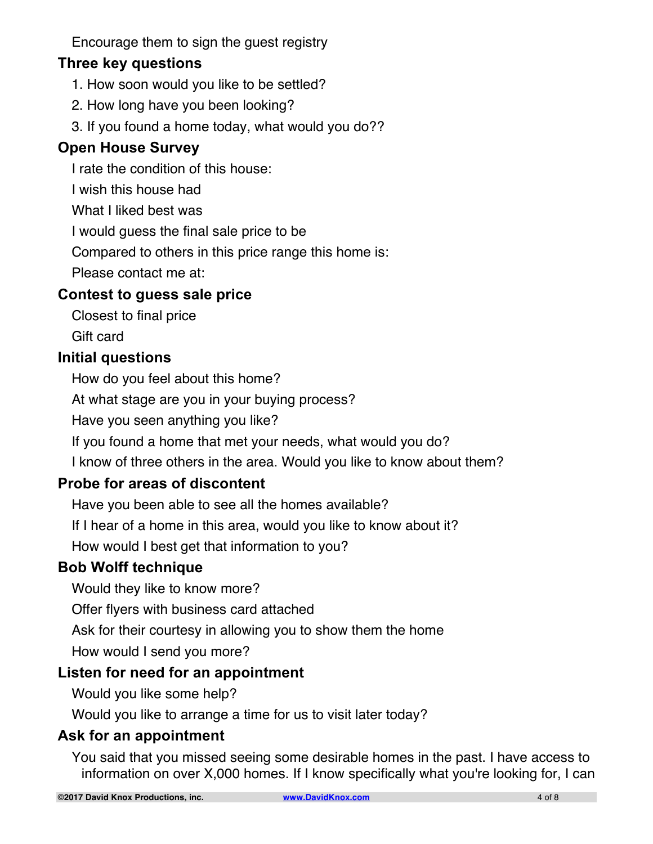Encourage them to sign the guest registry

#### **Three key questions**

- 1. How soon would you like to be settled?
- 2. How long have you been looking?
- 3. If you found a home today, what would you do??

### **Open House Survey**

I rate the condition of this house:

I wish this house had

What I liked best was

I would guess the final sale price to be

Compared to others in this price range this home is:

Please contact me at:

### **Contest to guess sale price**

Closest to final price

Gift card

#### **Initial questions**

How do you feel about this home?

At what stage are you in your buying process?

Have you seen anything you like?

If you found a home that met your needs, what would you do?

I know of three others in the area. Would you like to know about them?

## **Probe for areas of discontent**

Have you been able to see all the homes available?

If I hear of a home in this area, would you like to know about it?

How would I best get that information to you?

#### **Bob Wolff technique**

Would they like to know more?

Offer flyers with business card attached

Ask for their courtesy in allowing you to show them the home

How would I send you more?

#### **Listen for need for an appointment**

Would you like some help?

Would you like to arrange a time for us to visit later today?

#### **Ask for an appointment**

You said that you missed seeing some desirable homes in the past. I have access to information on over X,000 homes. If I know specifically what you're looking for, I can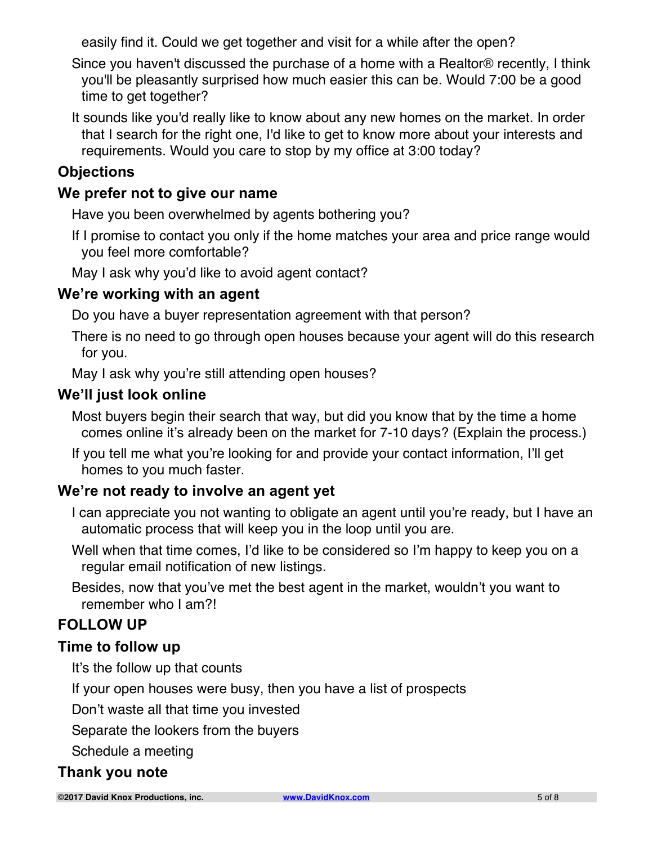easily find it. Could we get together and visit for a while after the open?

Since you haven't discussed the purchase of a home with a Realtor® recently, I think you'll be pleasantly surprised how much easier this can be. Would 7:00 be a good time to get together?

It sounds like you'd really like to know about any new homes on the market. In order that I search for the right one, I'd like to get to know more about your interests and requirements. Would you care to stop by my office at 3:00 today?

#### **Objections**

#### **We prefer not to give our name**

Have you been overwhelmed by agents bothering you?

If I promise to contact you only if the home matches your area and price range would you feel more comfortable?

May I ask why you'd like to avoid agent contact?

#### **We're working with an agent**

Do you have a buyer representation agreement with that person?

There is no need to go through open houses because your agent will do this research for you.

May I ask why you're still attending open houses?

#### **We'll just look online**

Most buyers begin their search that way, but did you know that by the time a home comes online it's already been on the market for 7-10 days? (Explain the process.)

If you tell me what you're looking for and provide your contact information, I'll get homes to you much faster.

#### **We're not ready to involve an agent yet**

- I can appreciate you not wanting to obligate an agent until you're ready, but I have an automatic process that will keep you in the loop until you are.
- Well when that time comes, I'd like to be considered so I'm happy to keep you on a regular email notification of new listings.
- Besides, now that you've met the best agent in the market, wouldn't you want to remember who I am?!

## **FOLLOW UP**

#### **Time to follow up**

It's the follow up that counts

If your open houses were busy, then you have a list of prospects

Don't waste all that time you invested

Separate the lookers from the buyers

Schedule a meeting

#### **Thank you note**

**©2017 David Knox Productions, inc. www.DavidKnox.com** 5 of 8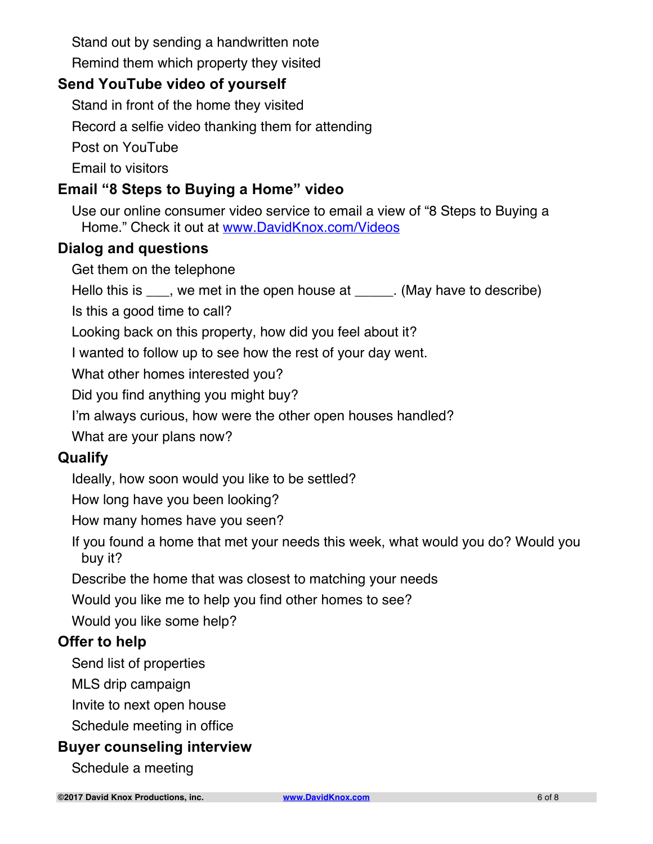Stand out by sending a handwritten note

Remind them which property they visited

#### **Send YouTube video of yourself**

Stand in front of the home they visited

Record a selfie video thanking them for attending

Post on YouTube

Email to visitors

### **Email "8 Steps to Buying a Home" video**

Use our online consumer video service to email a view of "8 Steps to Buying a Home." Check it out at www.DavidKnox.com/Videos

#### **Dialog and questions**

Get them on the telephone

Hello this is \_\_\_, we met in the open house at \_\_\_\_\_. (May have to describe)

Is this a good time to call?

Looking back on this property, how did you feel about it?

I wanted to follow up to see how the rest of your day went.

What other homes interested you?

Did you find anything you might buy?

I'm always curious, how were the other open houses handled?

What are your plans now?

#### **Qualify**

Ideally, how soon would you like to be settled?

How long have you been looking?

How many homes have you seen?

If you found a home that met your needs this week, what would you do? Would you buy it?

Describe the home that was closest to matching your needs

Would you like me to help you find other homes to see?

Would you like some help?

#### **Offer to help**

Send list of properties

MLS drip campaign

Invite to next open house

Schedule meeting in office

#### **Buyer counseling interview**

Schedule a meeting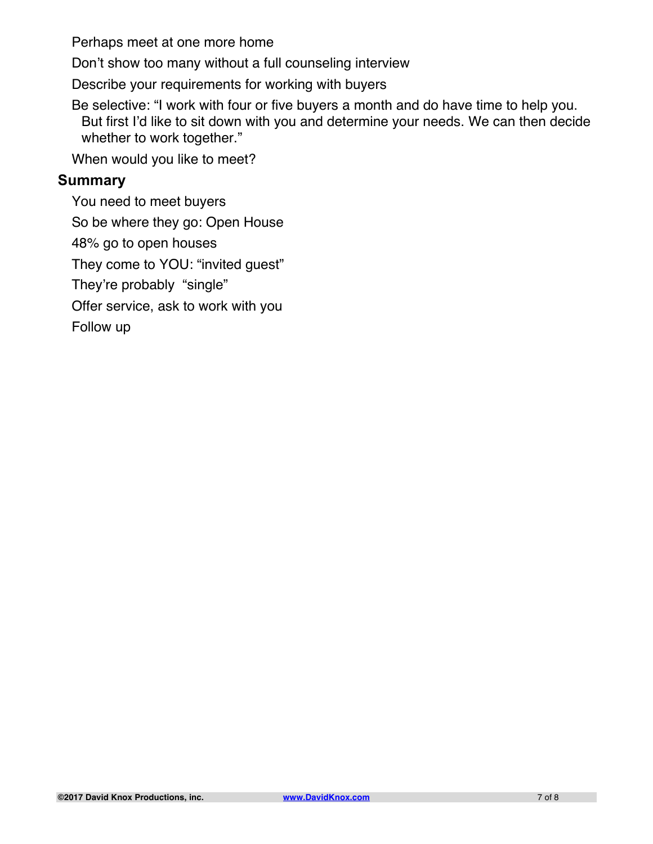Perhaps meet at one more home

Don't show too many without a full counseling interview

Describe your requirements for working with buyers

Be selective: "I work with four or five buyers a month and do have time to help you. But first I'd like to sit down with you and determine your needs. We can then decide whether to work together."

When would you like to meet?

#### **Summary**

You need to meet buyers So be where they go: Open House 48% go to open houses They come to YOU: "invited guest" They're probably "single" Offer service, ask to work with you Follow up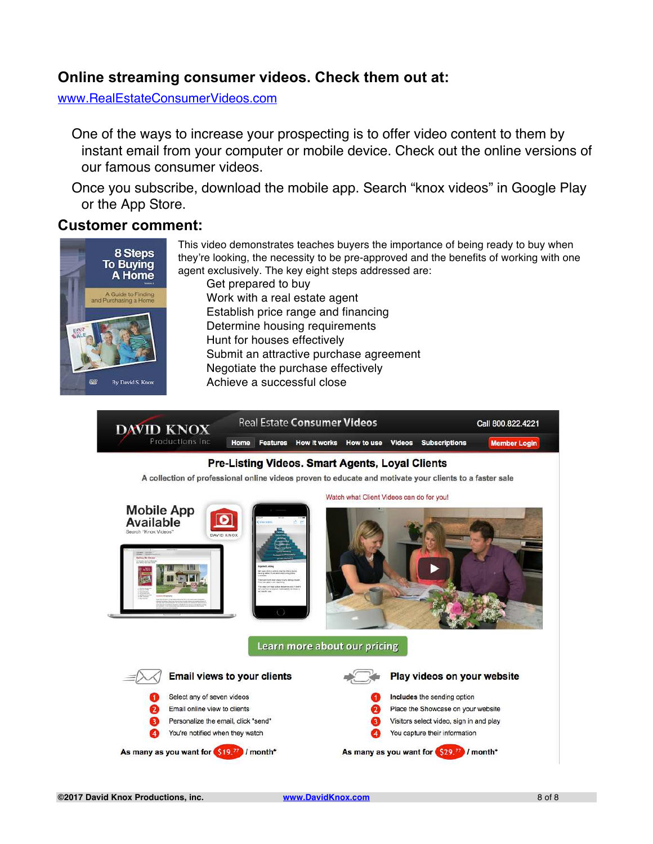#### **Online streaming consumer videos. Check them out at:**

www.RealEstateConsumerVideos.com

One of the ways to increase your prospecting is to offer video content to them by instant email from your computer or mobile device. Check out the online versions of our famous consumer videos.

Once you subscribe, download the mobile app. Search "knox videos" in Google Play or the App Store.

#### **Customer comment:**



This video demonstrates teaches buyers the importance of being ready to buy when they're looking, the necessity to be pre-approved and the benefits of working with one agent exclusively. The key eight steps addressed are: Get prepared to buy Work with a real estate agent Establish price range and financing Determine housing requirements Hunt for houses effectively Submit an attractive purchase agreement Negotiate the purchase effectively Achieve a successful close

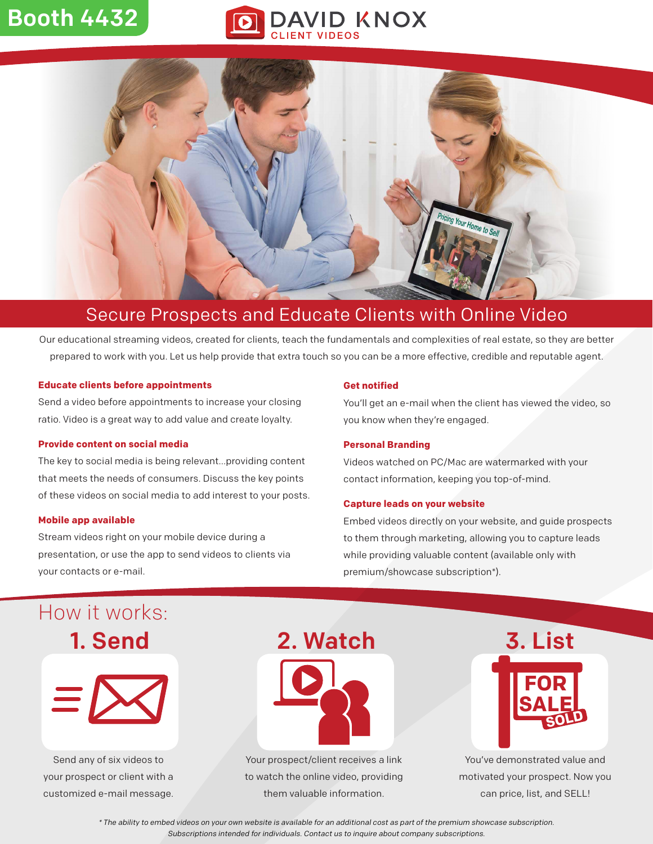## Booth 4432

# **DAVID KNOX**



## Secure Prospects and Educate Clients with Online Video

Our educational streaming videos, created for clients, teach the fundamentals and complexities of real estate, so they are better prepared to work with you. Let us help provide that extra touch so you can be a more effective, credible and reputable agent.

#### **Educate clients before appointments**

Send a video before appointments to increase your closing ratio. Video is a great way to add value and create loyalty.

#### **Provide content on social media**

The key to social media is being relevant...providing content that meets the needs of consumers. Discuss the key points of these videos on social media to add interest to your posts.

#### **Mobile app available**

Stream videos right on your mobile device during a presentation, or use the app to send videos to clients via your contacts or e-mail.

#### **Get notified**

You'll get an e-mail when the client has viewed the video, so you know when they're engaged.

#### **Personal Branding**

Videos watched on PC/Mac are watermarked with your contact information, keeping you top-of-mind.

#### **Capture leads on your website**

Embed videos directly on your website, and guide prospects to them through marketing, allowing you to capture leads while providing valuable content (available only with premium/showcase subscription\*).

## 1. Send How it works:



Send any of six videos to your prospect or client with a customized e-mail message.



Your prospect/client receives a link to watch the online video, providing them valuable information.



You've demonstrated value and motivated your prospect. Now you can price, list, and SELL!

\* The ability to embed videos on your own website is available for an additional cost as part of the premium showcase subscription. Subscriptions intended for individuals. Contact us to inquire about company subscriptions.